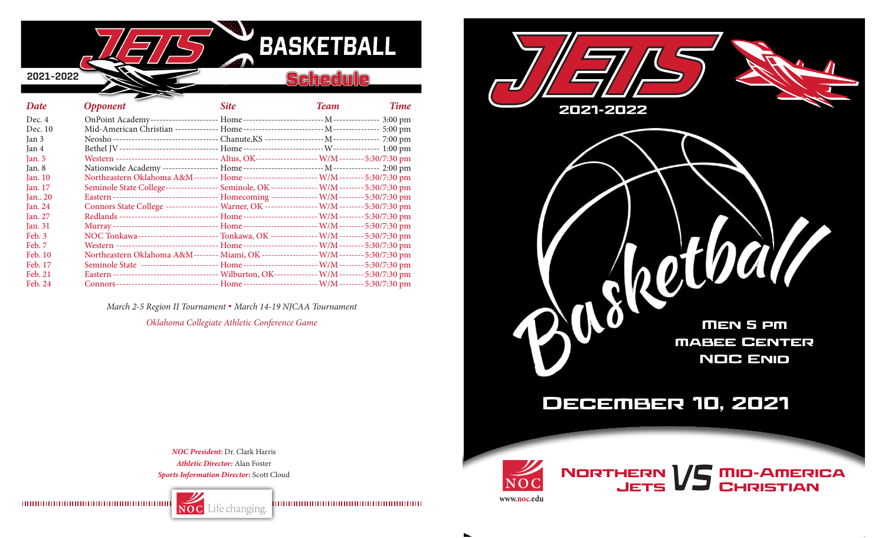

| Date      | <b>Opponent</b>                                                                                     | <b>Site</b> | <b>Team</b> | <b>Time</b> |
|-----------|-----------------------------------------------------------------------------------------------------|-------------|-------------|-------------|
| Dec. $4$  |                                                                                                     |             |             |             |
| Dec. 10   |                                                                                                     |             |             |             |
| Jan 3     |                                                                                                     |             |             |             |
| Jan 4     |                                                                                                     |             |             |             |
| Jan. $5$  | Western --------------------------------- Altus, OK------------------- W/M-------- 5:30/7:30 pm     |             |             |             |
| Jan. 8    |                                                                                                     |             |             |             |
| Jan. $10$ | Northeastern Oklahoma A&M-------- Home------------------------ W/M-------- 5:30/7:30 pm             |             |             |             |
| Jan. $17$ | Seminole State College----------------- Seminole, OK -------------- W/M -------- 5:30/7:30 pm       |             |             |             |
| Jan. $20$ |                                                                                                     |             |             |             |
| Jan. $24$ | Connors State College ----------------- Warner, OK ---------------- W/M ------- 5:30/7:30 pm        |             |             |             |
| Jan. $27$ | Redlands --------------------------------- Home ------------------------- W/M -------- 5:30/7:30 pm |             |             |             |
| Jan. 31   |                                                                                                     |             |             |             |
| Feb. 3    | NOC Tonkawa------------------------- Tonkawa, OK --------------- W/M -------- 5:30/7:30 pm          |             |             |             |
| Feb. 7    | Western --------------------------------- Home ----------------------- W/M -------- 5:30/7:30 pm    |             |             |             |
| Feb. 10   | Northeastern Oklahoma A&M-------- Miami, OK ------------------ W/M-------- 5:30/7:30 pm             |             |             |             |
| Feb. 17   | Seminole State ------------------------- Home------------------------- W/M-------- 5:30/7:30 pm     |             |             |             |
| Feb. 21   | Eastern ---------------------------------- Wilburton, OK-------------- W/M -------- 5:30/7:30 pm    |             |             |             |
| Feb. 24   | Connors ---------------------------------- Home ------------------------ W/M -------- 5:30/7:30 pm  |             |             |             |

*March 2-5 Region II Tournament* **.** *March 14-19 NJCAA Tournament*

*Oklahoma Collegiate Athletic Conference Game*

*NOC President:* Dr. Clark Harris *Athletic Director:* Alan Foster

Life changing